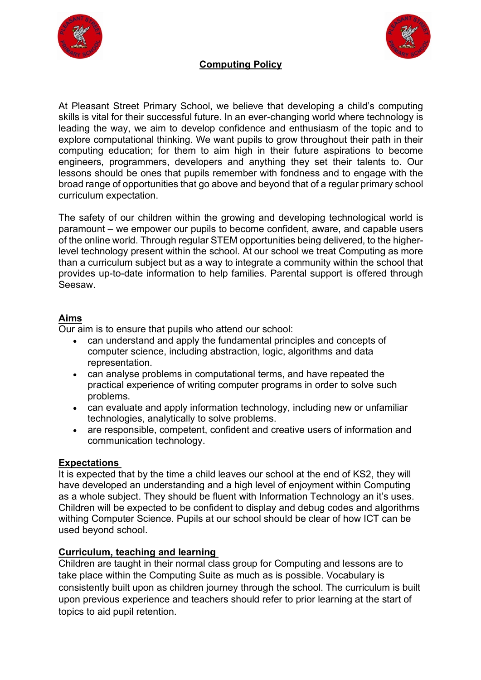



# **Computing Policy**

At Pleasant Street Primary School, we believe that developing a child's computing skills is vital for their successful future. In an ever-changing world where technology is leading the way, we aim to develop confidence and enthusiasm of the topic and to explore computational thinking. We want pupils to grow throughout their path in their computing education; for them to aim high in their future aspirations to become engineers, programmers, developers and anything they set their talents to. Our lessons should be ones that pupils remember with fondness and to engage with the broad range of opportunities that go above and beyond that of a regular primary school curriculum expectation.

The safety of our children within the growing and developing technological world is paramount – we empower our pupils to become confident, aware, and capable users of the online world. Through regular STEM opportunities being delivered, to the higherlevel technology present within the school. At our school we treat Computing as more than a curriculum subject but as a way to integrate a community within the school that provides up-to-date information to help families. Parental support is offered through Seesaw.

#### **Aims**

Our aim is to ensure that pupils who attend our school:

- can understand and apply the fundamental principles and concepts of computer science, including abstraction, logic, algorithms and data representation.
- can analyse problems in computational terms, and have repeated the practical experience of writing computer programs in order to solve such problems.
- can evaluate and apply information technology, including new or unfamiliar technologies, analytically to solve problems.
- are responsible, competent, confident and creative users of information and communication technology.

## **Expectations**

It is expected that by the time a child leaves our school at the end of KS2, they will have developed an understanding and a high level of enjoyment within Computing as a whole subject. They should be fluent with Information Technology an it's uses. Children will be expected to be confident to display and debug codes and algorithms withing Computer Science. Pupils at our school should be clear of how ICT can be used beyond school.

## **Curriculum, teaching and learning**

Children are taught in their normal class group for Computing and lessons are to take place within the Computing Suite as much as is possible. Vocabulary is consistently built upon as children journey through the school. The curriculum is built upon previous experience and teachers should refer to prior learning at the start of topics to aid pupil retention.